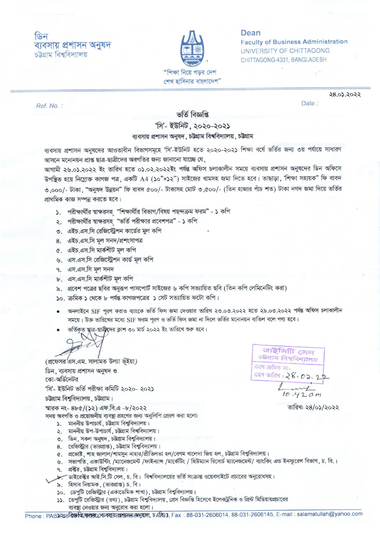## फिन ব্যবসায় প্ৰশাসন অনুষদ চট্টগ্রাম বিশ্ববিদ্যালয়



Dean **Faculty of Business Administration** UNIVERSITY OF CHITTAGONG CHITTAGONG-4331, BANGLADESH

Date:

Ref. No.:

28.03.2022

## ভৰ্তি বিজ্ঞপ্তি

## 'সি'- ইউনিট, ২০২০-২০২১

## ব্যবসায় প্রশাসন অনুষদ, চউগ্রাম বিশ্ববিদ্যালয়, চউগ্রাম

ব্যবসায় প্রশাসন অনুষদের আওতাধীন বিভাগসমূহে 'সি'-ইউনিট হতে ২০২০-২০২১ শিক্ষা বর্ষে ভর্তির জন্য ৩য় পর্যায়ে সাধারণ আসনে মনোনয়ন প্রাপ্ত ছাত্র-ছাত্রীদের অবগতির জন্য জানানো যাচ্ছে যে,

আগামী ২৬.০১.২০২২ ইং তারিখ হতে ০১.০২.২০২২ইং পর্যন্ত অফিস চলাকালীন সময়ে ব্যবসায় প্রশাসন অনুষদের ডিন অফিসে উপন্থিত হয়ে নিম্ৰোক্ত কাগজ পত্ৰ, একটি A4 (১০"×১২") সাইজের খামসহ জমা দিতে হবে। তাছাড়া, 'শিক্ষা সহায়ক" ফি বাবদ ৩,০০০/- টাকা, "অনুষদ উন্নয়ন" ফি বাবদ ৫০০/- টাকাসহ মোট ৩,৫০০/- (তিন হাজার পাঁচ শত) টাকা নগদ জমা দিয়ে ভর্তির প্রাথমিক কাজ সম্পন্ন করতে হবে।

- ১. পরীক্ষার্থীর শ্বাক্ষরসহ "শিক্ষার্থীর বিভাগ/বিষয় পছন্দক্রম ফরম" ১ কপি
- ২. পরীক্ষার্থীর শ্বাক্ষরসহ "ভর্তি পরীক্ষার প্রবেশপত্র" ১ কপি
- ৩. এইচ.এস.সি রেজিস্ট্রেশন কার্ডের মুল কপি
- 8. এইচ.এস.সি মূল সনদ/প্ৰশংসাপত্ৰ
- ৫. এইচ.এস.সি মার্কশীট মল কপি
- ৬. এস.এস.সি রেজিস্ট্রেশন কার্ড মল কপি
- ৭. এস.এস.সি মল সনদ
- ৮. এস.এস.সি মার্কশীট মল কপি
- ৯. প্রবেশ পত্রের ছবির অনুরূপ পাসপোর্ট সাইজের ৬ কপি সত্যায়িত ছবি (তিন কপি লেমিনেটিং করা)
- ১০. ক্রমিক ১ থেকে ৮ পর্যন্ত কাগজপত্রের ১ সেট সত্যায়িত ফটো কপি।
- অনলাইনে SIF পূরণ করাও ব্যাংকে ভর্তি ফিস জমা দেওয়ার তারিখ ২৩.০৩.২০২২ হতে ২৯.০৩.২০২২ পর্যন্ত অফিস চলাকালীন সময়ে। উক্ত তারিখের মধ্যে SIF ফরম পরণ ও ভর্তি ফিস জমা না দিলে ভর্তির মনোনয়ন বাতিল বলে গণ্য হবে।
- ভর্তিকৃত ষ্গাত্র-ছাত্রীদের ক্লাশ ৩০ মার্চ ২০২২ ইং তারিখে শুরু হবে।

(প্রফেসর এস.এম. সালামত উল্যা ভূঁইয়া) ডিন, ব্যবসায় প্রশাসন অনুষদ ও কো-অর্ডিনেটর 'সি'- ইউনিট ভৰ্তি পরীক্ষা কমিটি ২০২০- ২০২১ চউগ্রাম বিশ্ববিদ্যালয়, চউগ্রাম। স্মারক নং- ৪৮৫/(১২) এফ.বি.এ -৮/২০২২

সদয় অবগতি ও প্রয়োজনীয় ব্যবস্থা গ্রহণের জন্য অনুলিপি প্রেরণ করা হলো:

- ১. মাননীয় উপাচার্য, চউগ্রাম বিশ্ববিদ্যালয়।
- ২. মাননীয় উপ-উপাচার্য, চউগ্রাম বিশ্ববিদ্যালয়।
- ৩. ডিন, সকল অনুষদ, চউগ্রাম বিশ্ববিদ্যালয়।
- 8. রেজিস্ট্রার (ভারপ্রাপ্ত), চউগ্রাম বিশ্ববিদ্যালয়।
- ৫. প্রভোষ্ট, শাহ জালাল/শামসুন নাহার/প্রীতিলতা হল/বেগম খালেদা জিয় হল, চট্টগ্রাম বিশ্ববিদ্যালয়।
- ৬. সভাপতি, একাউন্টিং /ম্যানেজমেন্ট /ফাইন্যান্স /মার্কেটিং / হিউম্যান রিসোর্চ ম্যানেজমেন্ট/ ব্যাংকিং এন্ড ইনস্যুরেন্স বিভাগ, চ. বি.।
- ৭. প্রব্রুর, চউগ্রাম বিশ্ববিদ্যালয়।
- ক্রান্টিকেক্টর আই.সি.টি সেল, চ. বি। বিশ্ববিদ্যালয়ের ভর্তি সংক্রান্ত ওয়েবসাইটে প্রচারের অনুরোধসহ।
- ৯. হিসাব নিয়ামক, (ভারপ্রাপ্ত) চ. বি।
- ১০. ডেপুটি রেজিস্ট্রার (একাডেমিক শাখা), চউগ্রাম বিশ্ববিদ্যালয়।
- ১১. ডেপুটি রেজিস্ট্রার (তথ্য), চট্টগ্রাম বিশ্ববিদ্যালয়, প্রেস বিজ্ঞপ্তি হিসেবে ইলেকট্রনিক ও প্রিন্ট মিডিয়ায়প্রচারের ব্যবস্থা নেওয়ার জন্য অনুরোধ করা হলো।

আইসিটি সেল চউগ্ৰাম বিশ্ববিদ্যালয় গ্ৰহণ ক্ৰমিক নং-গ্ৰহণ তাৱিখ:  $28.02.22$  $0.42$  am

তারিখ: ২৪/০১/২০২২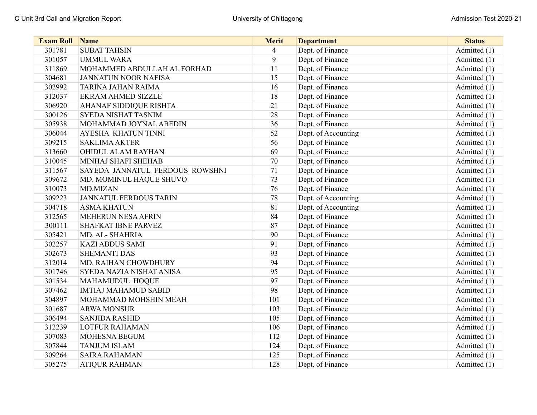| <b>Exam Roll</b> | Name                            | <b>Merit</b>   | <b>Department</b>   | <b>Status</b>  |
|------------------|---------------------------------|----------------|---------------------|----------------|
| 301781           | <b>SUBAT TAHSIN</b>             | $\overline{4}$ | Dept. of Finance    | Admitted (1)   |
| 301057           | <b>UMMUL WARA</b>               | 9              | Dept. of Finance    | Admitted (1)   |
| 311869           | MOHAMMED ABDULLAH AL FORHAD     | 11             | Dept. of Finance    | Admitted (1)   |
| 304681           | <b>JANNATUN NOOR NAFISA</b>     | 15             | Dept. of Finance    | Admitted (1)   |
| 302992           | TARINA JAHAN RAIMA              | 16             | Dept. of Finance    | Admitted (1)   |
| 312037           | <b>EKRAM AHMED SIZZLE</b>       | 18             | Dept. of Finance    | Admitted (1)   |
| 306920           | <b>AHANAF SIDDIQUE RISHTA</b>   | 21             | Dept. of Finance    | Admitted (1)   |
| 300126           | SYEDA NISHAT TASNIM             | 28             | Dept. of Finance    | Admitted (1)   |
| 305938           | MOHAMMAD JOYNAL ABEDIN          | 36             | Dept. of Finance    | Admitted (1)   |
| 306044           | AYESHA KHATUN TINNI             | 52             | Dept. of Accounting | Admitted (1)   |
| 309215           | <b>SAKLIMA AKTER</b>            | 56             | Dept. of Finance    | Admitted (1)   |
| 313660           | OHIDUL ALAM RAYHAN              | 69             | Dept. of Finance    | Admitted $(1)$ |
| 310045           | MINHAJ SHAFI SHEHAB             | 70             | Dept. of Finance    | Admitted (1)   |
| 311567           | SAYEDA JANNATUL FERDOUS ROWSHNI | 71             | Dept. of Finance    | Admitted (1)   |
| 309672           | MD. MOMINUL HAQUE SHUVO         | 73             | Dept. of Finance    | Admitted (1)   |
| 310073           | <b>MD.MIZAN</b>                 | 76             | Dept. of Finance    | Admitted (1)   |
| 309223           | <b>JANNATUL FERDOUS TARIN</b>   | 78             | Dept. of Accounting | Admitted (1)   |
| 304718           | <b>ASMA KHATUN</b>              | 81             | Dept. of Accounting | Admitted (1)   |
| 312565           | MEHERUN NESA AFRIN              | 84             | Dept. of Finance    | Admitted (1)   |
| 300111           | SHAFKAT IBNE PARVEZ             | 87             | Dept. of Finance    | Admitted (1)   |
| 305421           | MD. AL-SHAHRIA                  | 90             | Dept. of Finance    | Admitted (1)   |
| 302257           | <b>KAZI ABDUS SAMI</b>          | 91             | Dept. of Finance    | Admitted (1)   |
| 302673           | <b>SHEMANTI DAS</b>             | 93             | Dept. of Finance    | Admitted (1)   |
| 312014           | MD. RAIHAN CHOWDHURY            | 94             | Dept. of Finance    | Admitted (1)   |
| 301746           | SYEDA NAZIA NISHAT ANISA        | 95             | Dept. of Finance    | Admitted (1)   |
| 301534           | MAHAMUDUL HOQUE                 | 97             | Dept. of Finance    | Admitted (1)   |
| 307462           | <b>IMTIAJ MAHAMUD SABID</b>     | 98             | Dept. of Finance    | Admitted (1)   |
| 304897           | MOHAMMAD MOHSHIN MEAH           | 101            | Dept. of Finance    | Admitted (1)   |
| 301687           | <b>ARWA MONSUR</b>              | 103            | Dept. of Finance    | Admitted (1)   |
| 306494           | <b>SANJIDA RASHID</b>           | 105            | Dept. of Finance    | Admitted (1)   |
| 312239           | <b>LOTFUR RAHAMAN</b>           | 106            | Dept. of Finance    | Admitted (1)   |
| 307083           | MOHESNA BEGUM                   | 112            | Dept. of Finance    | Admitted (1)   |
| 307844           | <b>TANJUM ISLAM</b>             | 124            | Dept. of Finance    | Admitted (1)   |
| 309264           | <b>SAIRA RAHAMAN</b>            | 125            | Dept. of Finance    | Admitted (1)   |
| 305275           | <b>ATIQUR RAHMAN</b>            | 128            | Dept. of Finance    | Admitted (1)   |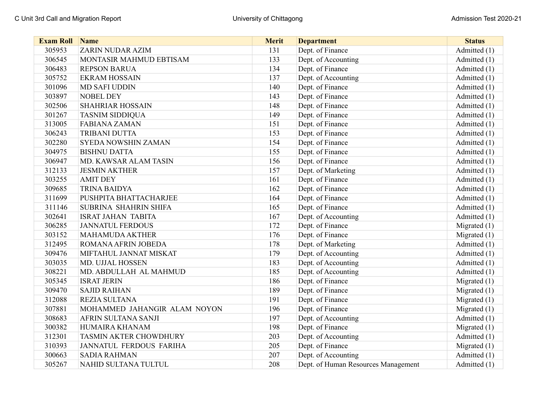| <b>Exam Roll</b> | Name                           | <b>Merit</b> | <b>Department</b>                   | <b>Status</b>  |
|------------------|--------------------------------|--------------|-------------------------------------|----------------|
| 305953           | <b>ZARIN NUDAR AZIM</b>        | 131          | Dept. of Finance                    | Admitted (1)   |
| 306545           | MONTASIR MAHMUD EBTISAM        | 133          | Dept. of Accounting                 | Admitted (1)   |
| 306483           | <b>REPSON BARUA</b>            | 134          | Dept. of Finance                    | Admitted (1)   |
| 305752           | <b>EKRAM HOSSAIN</b>           | 137          | Dept. of Accounting                 | Admitted (1)   |
| 301096           | <b>MD SAFI UDDIN</b>           | 140          | Dept. of Finance                    | Admitted (1)   |
| 303897           | <b>NOBEL DEY</b>               | 143          | Dept. of Finance                    | Admitted (1)   |
| 302506           | SHAHRIAR HOSSAIN               | 148          | Dept. of Finance                    | Admitted (1)   |
| 301267           | <b>TASNIM SIDDIQUA</b>         | 149          | Dept. of Finance                    | Admitted (1)   |
| 313005           | <b>FABIANA ZAMAN</b>           | 151          | Dept. of Finance                    | Admitted (1)   |
| 306243           | TRIBANI DUTTA                  | 153          | Dept. of Finance                    | Admitted (1)   |
| 302280           | <b>SYEDA NOWSHIN ZAMAN</b>     | 154          | Dept. of Finance                    | Admitted (1)   |
| 304975           | <b>BISHNU DATTA</b>            | 155          | Dept. of Finance                    | Admitted (1)   |
| 306947           | MD. KAWSAR ALAM TASIN          | 156          | Dept. of Finance                    | Admitted (1)   |
| 312133           | <b>JESMIN AKTHER</b>           | 157          | Dept. of Marketing                  | Admitted (1)   |
| 303255           | <b>AMIT DEY</b>                | 161          | Dept. of Finance                    | Admitted (1)   |
| 309685           | <b>TRINA BAIDYA</b>            | 162          | Dept. of Finance                    | Admitted (1)   |
| 311699           | PUSHPITA BHATTACHARJEE         | 164          | Dept. of Finance                    | Admitted (1)   |
| 311146           | SUBRINA SHAHRIN SHIFA          | 165          | Dept. of Finance                    | Admitted (1)   |
| 302641           | <b>ISRAT JAHAN TABITA</b>      | 167          | Dept. of Accounting                 | Admitted (1)   |
| 306285           | <b>JANNATUL FERDOUS</b>        | 172          | Dept. of Finance                    | Migrated (1)   |
| 303152           | <b>MAHAMUDA AKTHER</b>         | 176          | Dept. of Finance                    | Migrated (1)   |
| 312495           | ROMANA AFRIN JOBEDA            | 178          | Dept. of Marketing                  | Admitted (1)   |
| 309476           | MIFTAHUL JANNAT MISKAT         | 179          | Dept. of Accounting                 | Admitted (1)   |
| 303035           | MD. UJJAL HOSSEN               | 183          | Dept. of Accounting                 | Admitted (1)   |
| 308221           | MD. ABDULLAH AL MAHMUD         | 185          | Dept. of Accounting                 | Admitted (1)   |
| 305345           | <b>ISRAT JERIN</b>             | 186          | Dept. of Finance                    | Migrated (1)   |
| 309470           | <b>SAJID RAIHAN</b>            | 189          | Dept. of Finance                    | Migrated $(1)$ |
| 312088           | <b>REZIA SULTANA</b>           | 191          | Dept. of Finance                    | Migrated (1)   |
| 307881           | MOHAMMED JAHANGIR ALAM NOYON   | 196          | Dept. of Finance                    | Migrated (1)   |
| 308683           | AFRIN SULTANA SANJI            | 197          | Dept. of Accounting                 | Admitted (1)   |
| 300382           | HUMAIRA KHANAM                 | 198          | Dept. of Finance                    | Migrated (1)   |
| 312301           | TASMIN AKTER CHOWDHURY         | 203          | Dept. of Accounting                 | Admitted (1)   |
| 310393           | <b>JANNATUL FERDOUS FARIHA</b> | 205          | Dept. of Finance                    | Migrated $(1)$ |
| 300663           | <b>SADIA RAHMAN</b>            | 207          | Dept. of Accounting                 | Admitted (1)   |
| 305267           | NAHID SULTANA TULTUL           | 208          | Dept. of Human Resources Management | Admitted (1)   |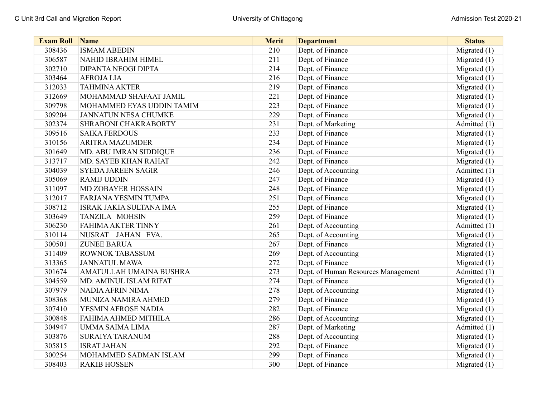| <b>Exam Roll Name</b> |                             | <b>Merit</b> | <b>Department</b>                   | <b>Status</b>  |
|-----------------------|-----------------------------|--------------|-------------------------------------|----------------|
| 308436                | <b>ISMAM ABEDIN</b>         | 210          | Dept. of Finance                    | Migrated (1)   |
| 306587                | NAHID IBRAHIM HIMEL         | 211          | Dept. of Finance                    | Migrated $(1)$ |
| 302710                | DIPANTA NEOGI DIPTA         | 214          | Dept. of Finance                    | Migrated (1)   |
| 303464                | <b>AFROJALIA</b>            | 216          | Dept. of Finance                    | Migrated (1)   |
| 312033                | <b>TAHMINA AKTER</b>        | 219          | Dept. of Finance                    | Migrated (1)   |
| 312669                | MOHAMMAD SHAFAAT JAMIL      | 221          | Dept. of Finance                    | Migrated (1)   |
| 309798                | MOHAMMED EYAS UDDIN TAMIM   | 223          | Dept. of Finance                    | Migrated (1)   |
| 309204                | <b>JANNATUN NESA CHUMKE</b> | 229          | Dept. of Finance                    | Migrated (1)   |
| 302374                | SHRABONI CHAKRABORTY        | 231          | Dept. of Marketing                  | Admitted (1)   |
| 309516                | <b>SAIKA FERDOUS</b>        | 233          | Dept. of Finance                    | Migrated (1)   |
| 310156                | <b>ARITRA MAZUMDER</b>      | 234          | Dept. of Finance                    | Migrated (1)   |
| 301649                | MD. ABU IMRAN SIDDIQUE      | 236          | Dept. of Finance                    | Migrated (1)   |
| 313717                | MD. SAYEB KHAN RAHAT        | 242          | Dept. of Finance                    | Migrated (1)   |
| 304039                | <b>SYEDA JAREEN SAGIR</b>   | 246          | Dept. of Accounting                 | Admitted (1)   |
| 305069                | <b>RAMIJ UDDIN</b>          | 247          | Dept. of Finance                    | Migrated (1)   |
| 311097                | MD ZOBAYER HOSSAIN          | 248          | Dept. of Finance                    | Migrated (1)   |
| 312017                | FARJANA YESMIN TUMPA        | 251          | Dept. of Finance                    | Migrated (1)   |
| 308712                | ISRAK JAKIA SULTANA IMA     | 255          | Dept. of Finance                    | Migrated $(1)$ |
| 303649                | TANZILA MOHSIN              | 259          | Dept. of Finance                    | Migrated $(1)$ |
| 306230                | FAHIMA AKTER TINNY          | 261          | Dept. of Accounting                 | Admitted (1)   |
| 310114                | NUSRAT JAHAN EVA.           | 265          | Dept. of Accounting                 | Migrated (1)   |
| 300501                | <b>ZUNEE BARUA</b>          | 267          | Dept. of Finance                    | Migrated (1)   |
| 311409                | ROWNOK TABASSUM             | 269          | Dept. of Accounting                 | Migrated $(1)$ |
| 313365                | <b>JANNATUL MAWA</b>        | 272          | Dept. of Finance                    | Migrated (1)   |
| 301674                | AMATULLAH UMAINA BUSHRA     | 273          | Dept. of Human Resources Management | Admitted (1)   |
| 304559                | MD. AMINUL ISLAM RIFAT      | 274          | Dept. of Finance                    | Migrated $(1)$ |
| 307979                | NADIA AFRIN NIMA            | 278          | Dept. of Accounting                 | Migrated (1)   |
| 308368                | MUNIZA NAMIRA AHMED         | 279          | Dept. of Finance                    | Migrated (1)   |
| 307410                | YESMIN AFROSE NADIA         | 282          | Dept. of Finance                    | Migrated (1)   |
| 300848                | FAHIMA AHMED MITHILA        | 286          | Dept. of Accounting                 | Migrated $(1)$ |
| 304947                | UMMA SAIMA LIMA             | 287          | Dept. of Marketing                  | Admitted (1)   |
| 303876                | <b>SURAIYA TARANUM</b>      | 288          | Dept. of Accounting                 | Migrated (1)   |
| 305815                | <b>ISRAT JAHAN</b>          | 292          | Dept. of Finance                    | Migrated (1)   |
| 300254                | MOHAMMED SADMAN ISLAM       | 299          | Dept. of Finance                    | Migrated (1)   |
| 308403                | <b>RAKIB HOSSEN</b>         | 300          | Dept. of Finance                    | Migrated $(1)$ |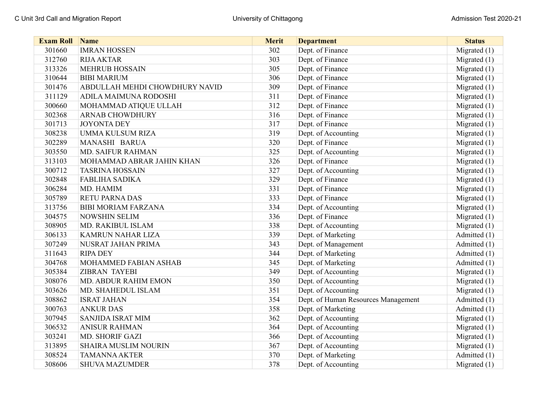| <b>Exam Roll</b> | <b>Name</b>                    | <b>Merit</b> | <b>Department</b>                   | <b>Status</b>  |
|------------------|--------------------------------|--------------|-------------------------------------|----------------|
| 301660           | <b>IMRAN HOSSEN</b>            | 302          | Dept. of Finance                    | Migrated $(1)$ |
| 312760           | <b>RIJA AKTAR</b>              | 303          | Dept. of Finance                    | Migrated (1)   |
| 313326           | <b>MEHRUB HOSSAIN</b>          | 305          | Dept. of Finance                    | Migrated (1)   |
| 310644           | <b>BIBI MARIUM</b>             | 306          | Dept. of Finance                    | Migrated (1)   |
| 301476           | ABDULLAH MEHDI CHOWDHURY NAVID | 309          | Dept. of Finance                    | Migrated (1)   |
| 311129           | ADILA MAIMUNA RODOSHI          | 311          | Dept. of Finance                    | Migrated $(1)$ |
| 300660           | MOHAMMAD ATIQUE ULLAH          | 312          | Dept. of Finance                    | Migrated (1)   |
| 302368           | <b>ARNAB CHOWDHURY</b>         | 316          | Dept. of Finance                    | Migrated (1)   |
| 301713           | <b>JOYONTA DEY</b>             | 317          | Dept. of Finance                    | Migrated (1)   |
| 308238           | UMMA KULSUM RIZA               | 319          | Dept. of Accounting                 | Migrated (1)   |
| 302289           | MANASHI BARUA                  | 320          | Dept. of Finance                    | Migrated (1)   |
| 303550           | <b>MD. SAIFUR RAHMAN</b>       | 325          | Dept. of Accounting                 | Migrated (1)   |
| 313103           | MOHAMMAD ABRAR JAHIN KHAN      | 326          | Dept. of Finance                    | Migrated (1)   |
| 300712           | <b>TASRINA HOSSAIN</b>         | 327          | Dept. of Accounting                 | Migrated (1)   |
| 302848           | <b>FABLIHA SADIKA</b>          | 329          | Dept. of Finance                    | Migrated (1)   |
| 306284           | MD. HAMIM                      | 331          | Dept. of Finance                    | Migrated (1)   |
| 305789           | <b>RETU PARNA DAS</b>          | 333          | Dept. of Finance                    | Migrated (1)   |
| 313756           | <b>BIBI MORIAM FARZANA</b>     | 334          | Dept. of Accounting                 | Migrated $(1)$ |
| 304575           | <b>NOWSHIN SELIM</b>           | 336          | Dept. of Finance                    | Migrated (1)   |
| 308905           | MD. RAKIBUL ISLAM              | 338          | Dept. of Accounting                 | Migrated (1)   |
| 306133           | <b>KAMRUN NAHAR LIZA</b>       | 339          | Dept. of Marketing                  | Admitted (1)   |
| 307249           | NUSRAT JAHAN PRIMA             | 343          | Dept. of Management                 | Admitted (1)   |
| 311643           | <b>RIPA DEY</b>                | 344          | Dept. of Marketing                  | Admitted (1)   |
| 304768           | MOHAMMED FABIAN ASHAB          | 345          | Dept. of Marketing                  | Admitted (1)   |
| 305384           | <b>ZIBRAN TAYEBI</b>           | 349          | Dept. of Accounting                 | Migrated $(1)$ |
| 308076           | MD. ABDUR RAHIM EMON           | 350          | Dept. of Accounting                 | Migrated (1)   |
| 303626           | MD. SHAHEDUL ISLAM             | 351          | Dept. of Accounting                 | Migrated (1)   |
| 308862           | <b>ISRAT JAHAN</b>             | 354          | Dept. of Human Resources Management | Admitted (1)   |
| 300763           | <b>ANKUR DAS</b>               | 358          | Dept. of Marketing                  | Admitted (1)   |
| 307945           | SANJIDA ISRAT MIM              | 362          | Dept. of Accounting                 | Migrated $(1)$ |
| 306532           | <b>ANISUR RAHMAN</b>           | 364          | Dept. of Accounting                 | Migrated (1)   |
| 303241           | MD. SHORIF GAZI                | 366          | Dept. of Accounting                 | Migrated (1)   |
| 313895           | <b>SHAIRA MUSLIM NOURIN</b>    | 367          | Dept. of Accounting                 | Migrated $(1)$ |
| 308524           | <b>TAMANNA AKTER</b>           | 370          | Dept. of Marketing                  | Admitted (1)   |
| 308606           | <b>SHUVA MAZUMDER</b>          | 378          | Dept. of Accounting                 | Migrated $(1)$ |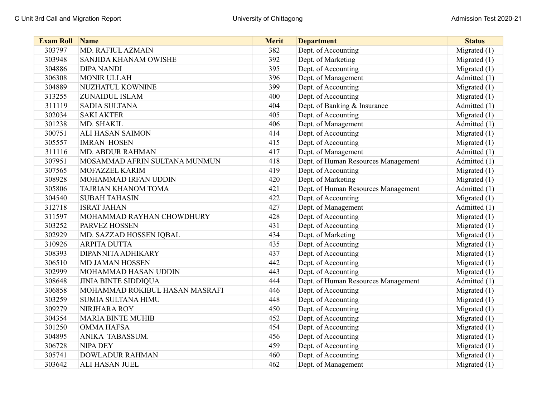| <b>Exam Roll</b> | <b>Name</b>                    | <b>Merit</b> | <b>Department</b>                   | <b>Status</b>  |
|------------------|--------------------------------|--------------|-------------------------------------|----------------|
| 303797           | MD. RAFIUL AZMAIN              | 382          | Dept. of Accounting                 | Migrated (1)   |
| 303948           | SANJIDA KHANAM OWISHE          | 392          | Dept. of Marketing                  | Migrated (1)   |
| 304886           | <b>DIPA NANDI</b>              | 395          | Dept. of Accounting                 | Migrated (1)   |
| 306308           | <b>MONIR ULLAH</b>             | 396          | Dept. of Management                 | Admitted (1)   |
| 304889           | NUZHATUL KOWNINE               | 399          | Dept. of Accounting                 | Migrated (1)   |
| 313255           | ZUNAIDUL ISLAM                 | 400          | Dept. of Accounting                 | Migrated $(1)$ |
| 311119           | <b>SADIA SULTANA</b>           | 404          | Dept. of Banking & Insurance        | Admitted (1)   |
| 302034           | <b>SAKI AKTER</b>              | 405          | Dept. of Accounting                 | Migrated (1)   |
| 301238           | MD. SHAKIL                     | 406          | Dept. of Management                 | Admitted (1)   |
| 300751           | <b>ALI HASAN SAIMON</b>        | 414          | Dept. of Accounting                 | Migrated (1)   |
| 305557           | <b>IMRAN HOSEN</b>             | 415          | Dept. of Accounting                 | Migrated (1)   |
| 311116           | <b>MD. ABDUR RAHMAN</b>        | 417          | Dept. of Management                 | Admitted (1)   |
| 307951           | MOSAMMAD AFRIN SULTANA MUNMUN  | 418          | Dept. of Human Resources Management | Admitted (1)   |
| 307565           | MOFAZZEL KARIM                 | 419          | Dept. of Accounting                 | Migrated (1)   |
| 308928           | MOHAMMAD IRFAN UDDIN           | 420          | Dept. of Marketing                  | Migrated (1)   |
| 305806           | TAJRIAN KHANOM TOMA            | 421          | Dept. of Human Resources Management | Admitted (1)   |
| 304540           | <b>SUBAH TAHASIN</b>           | 422          | Dept. of Accounting                 | Migrated $(1)$ |
| 312718           | <b>ISRAT JAHAN</b>             | 427          | Dept. of Management                 | Admitted (1)   |
| 311597           | MOHAMMAD RAYHAN CHOWDHURY      | 428          | Dept. of Accounting                 | Migrated $(1)$ |
| 303252           | PARVEZ HOSSEN                  | 431          | Dept. of Accounting                 | Migrated (1)   |
| 302929           | MD. SAZZAD HOSSEN IQBAL        | 434          | Dept. of Marketing                  | Migrated $(1)$ |
| 310926           | <b>ARPITA DUTTA</b>            | 435          | Dept. of Accounting                 | Migrated (1)   |
| 308393           | DIPANNITA ADHIKARY             | 437          | Dept. of Accounting                 | Migrated (1)   |
| 306510           | <b>MD JAMAN HOSSEN</b>         | 442          | Dept. of Accounting                 | Migrated $(1)$ |
| 302999           | MOHAMMAD HASAN UDDIN           | 443          | Dept. of Accounting                 | Migrated $(1)$ |
| 308648           | <b>JINIA BINTE SIDDIQUA</b>    | 444          | Dept. of Human Resources Management | Admitted (1)   |
| 306858           | MOHAMMAD ROKIBUL HASAN MASRAFI | 446          | Dept. of Accounting                 | Migrated (1)   |
| 303259           | <b>SUMIA SULTANA HIMU</b>      | 448          | Dept. of Accounting                 | Migrated (1)   |
| 309279           | NIRJHARA ROY                   | 450          | Dept. of Accounting                 | Migrated (1)   |
| 304354           | <b>MARIA BINTE MUHIB</b>       | 452          | Dept. of Accounting                 | Migrated (1)   |
| 301250           | <b>OMMA HAFSA</b>              | 454          | Dept. of Accounting                 | Migrated (1)   |
| 304895           | ANIKA TABASSUM.                | 456          | Dept. of Accounting                 | Migrated (1)   |
| 306728           | <b>NIPA DEY</b>                | 459          | Dept. of Accounting                 | Migrated (1)   |
| 305741           | <b>DOWLADUR RAHMAN</b>         | 460          | Dept. of Accounting                 | Migrated (1)   |
| 303642           | ALI HASAN JUEL                 | 462          | Dept. of Management                 | Migrated $(1)$ |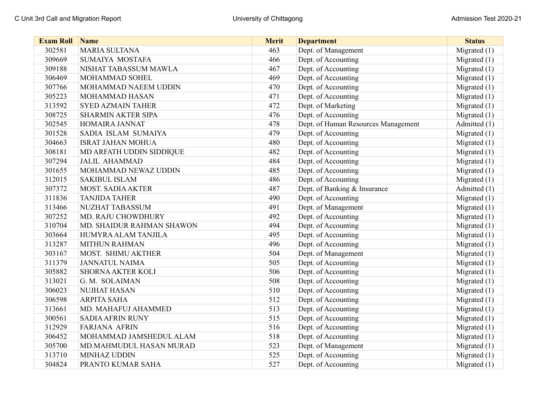| <b>Exam Roll</b> | Name                      | <b>Merit</b> | <b>Department</b>                   | <b>Status</b>  |
|------------------|---------------------------|--------------|-------------------------------------|----------------|
| 302581           | <b>MARIA SULTANA</b>      | 463          | Dept. of Management                 | Migrated (1)   |
| 309669           | SUMAIYA MOSTAFA           | 466          | Dept. of Accounting                 | Migrated $(1)$ |
| 309188           | NISHAT TABASSUM MAWLA     | 467          | Dept. of Accounting                 | Migrated (1)   |
| 306469           | MOHAMMAD SOHEL            | 469          | Dept. of Accounting                 | Migrated (1)   |
| 307766           | MOHAMMAD NAEEM UDDIN      | 470          | Dept. of Accounting                 | Migrated $(1)$ |
| 305223           | MOHAMMAD HASAN            | 471          | Dept. of Accounting                 | Migrated $(1)$ |
| 313592           | <b>SYED AZMAIN TAHER</b>  | 472          | Dept. of Marketing                  | Migrated (1)   |
| 308725           | <b>SHARMIN AKTER SIPA</b> | 476          | Dept. of Accounting                 | Migrated (1)   |
| 302545           | HOMAIRA JANNAT            | 478          | Dept. of Human Resources Management | Admitted (1)   |
| 301528           | SADIA ISLAM SUMAIYA       | 479          | Dept. of Accounting                 | Migrated (1)   |
| 304663           | <b>ISRAT JAHAN MOHUA</b>  | 480          | Dept. of Accounting                 | Migrated (1)   |
| 308181           | MD ARFATH UDDIN SIDDIQUE  | 482          | Dept. of Accounting                 | Migrated (1)   |
| 307294           | <b>JALIL AHAMMAD</b>      | 484          | Dept. of Accounting                 | Migrated (1)   |
| 301655           | MOHAMMAD NEWAZ UDDIN      | 485          | Dept. of Accounting                 | Migrated (1)   |
| 312015           | <b>SAKIBUL ISLAM</b>      | 486          | Dept. of Accounting                 | Migrated (1)   |
| 307372           | MOST. SADIA AKTER         | 487          | Dept. of Banking & Insurance        | Admitted (1)   |
| 311836           | <b>TANJIDA TAHER</b>      | 490          | Dept. of Accounting                 | Migrated $(1)$ |
| 313466           | NUZHAT TABASSUM           | 491          | Dept. of Management                 | Migrated $(1)$ |
| 307252           | MD. RAJU CHOWDHURY        | 492          | Dept. of Accounting                 | Migrated (1)   |
| 310704           | MD. SHAIDUR RAHMAN SHAWON | 494          | Dept. of Accounting                 | Migrated (1)   |
| 303664           | HUMYRA ALAM TANJILA       | 495          | Dept. of Accounting                 | Migrated (1)   |
| 313287           | <b>MITHUN RAHMAN</b>      | 496          | Dept. of Accounting                 | Migrated (1)   |
| 303167           | MOST. SHIMU AKTHER        | 504          | Dept. of Management                 | Migrated (1)   |
| 311379           | <b>JANNATUL NAIMA</b>     | 505          | Dept. of Accounting                 | Migrated $(1)$ |
| 305882           | SHORNA AKTER KOLI         | 506          | Dept. of Accounting                 | Migrated $(1)$ |
| 313021           | G. M. SOLAIMAN            | 508          | Dept. of Accounting                 | Migrated (1)   |
| 306023           | <b>NUJHAT HASAN</b>       | 510          | Dept. of Accounting                 | Migrated (1)   |
| 306598           | <b>ARPITA SAHA</b>        | 512          | Dept. of Accounting                 | Migrated (1)   |
| 313661           | MD. MAHAFUJ AHAMMED       | 513          | Dept. of Accounting                 | Migrated (1)   |
| 300561           | <b>SADIA AFRIN RUNY</b>   | 515          | Dept. of Accounting                 | Migrated $(1)$ |
| 312929           | <b>FARJANA AFRIN</b>      | 516          | Dept. of Accounting                 | Migrated (1)   |
| 306452           | MOHAMMAD JAMSHEDUL ALAM   | 518          | Dept. of Accounting                 | Migrated (1)   |
| 305700           | MD.MAHMUDUL HASAN MURAD   | 523          | Dept. of Management                 | Migrated $(1)$ |
| 313710           | <b>MINHAZ UDDIN</b>       | 525          | Dept. of Accounting                 | Migrated (1)   |
| 304824           | PRANTO KUMAR SAHA         | 527          | Dept. of Accounting                 | Migrated $(1)$ |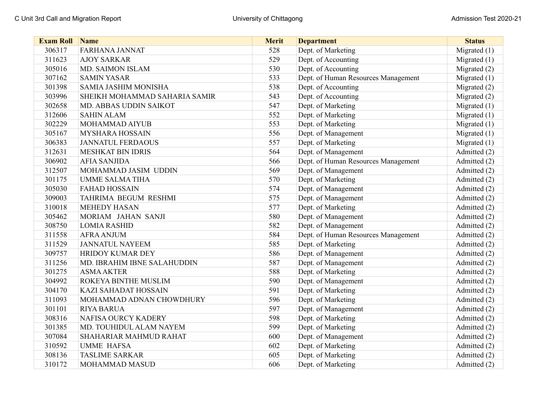| <b>Exam Roll Name</b> |                               | <b>Merit</b> | <b>Department</b>                   | <b>Status</b>  |
|-----------------------|-------------------------------|--------------|-------------------------------------|----------------|
| 306317                | <b>FARHANA JANNAT</b>         | 528          | Dept. of Marketing                  | Migrated (1)   |
| 311623                | <b>AJOY SARKAR</b>            | 529          | Dept. of Accounting                 | Migrated $(1)$ |
| 305016                | MD. SAIMON ISLAM              | 530          | Dept. of Accounting                 | Migrated (2)   |
| 307162                | <b>SAMIN YASAR</b>            | 533          | Dept. of Human Resources Management | Migrated (1)   |
| 301398                | SAMIA JASHIM MONISHA          | 538          | Dept. of Accounting                 | Migrated (2)   |
| 303996                | SHEIKH MOHAMMAD SAHARIA SAMIR | 543          | Dept. of Accounting                 | Migrated (2)   |
| 302658                | MD. ABBAS UDDIN SAIKOT        | 547          | Dept. of Marketing                  | Migrated (1)   |
| 312606                | <b>SAHIN ALAM</b>             | 552          | Dept. of Marketing                  | Migrated (1)   |
| 302229                | MOHAMMAD AIYUB                | 553          | Dept. of Marketing                  | Migrated (1)   |
| 305167                | <b>MYSHARA HOSSAIN</b>        | 556          | Dept. of Management                 | Migrated (1)   |
| 306383                | <b>JANNATUL FERDAOUS</b>      | 557          | Dept. of Marketing                  | Migrated $(1)$ |
| 312631                | <b>MESHKAT BIN IDRIS</b>      | 564          | Dept. of Management                 | Admitted (2)   |
| 306902                | <b>AFIA SANJIDA</b>           | 566          | Dept. of Human Resources Management | Admitted (2)   |
| 312507                | MOHAMMAD JASIM UDDIN          | 569          | Dept. of Management                 | Admitted (2)   |
| 301175                | <b>UMME SALMA TIHA</b>        | 570          | Dept. of Marketing                  | Admitted (2)   |
| 305030                | <b>FAHAD HOSSAIN</b>          | 574          | Dept. of Management                 | Admitted (2)   |
| 309003                | TAHRIMA BEGUM RESHMI          | 575          | Dept. of Management                 | Admitted (2)   |
| 310018                | <b>MEHEDY HASAN</b>           | 577          | Dept. of Marketing                  | Admitted (2)   |
| 305462                | MORIAM JAHAN SANJI            | 580          | Dept. of Management                 | Admitted (2)   |
| 308750                | <b>LOMIA RASHID</b>           | 582          | Dept. of Management                 | Admitted (2)   |
| 311558                | <b>AFRA ANJUM</b>             | 584          | Dept. of Human Resources Management | Admitted (2)   |
| 311529                | <b>JANNATUL NAYEEM</b>        | 585          | Dept. of Marketing                  | Admitted (2)   |
| 309757                | HRIDOY KUMAR DEY              | 586          | Dept. of Management                 | Admitted (2)   |
| 311256                | MD. IBRAHIM IBNE SALAHUDDIN   | 587          | Dept. of Management                 | Admitted (2)   |
| 301275                | <b>ASMA AKTER</b>             | 588          | Dept. of Marketing                  | Admitted (2)   |
| 304992                | ROKEYA BINTHE MUSLIM          | 590          | Dept. of Management                 | Admitted (2)   |
| 304170                | KAZI SAHADAT HOSSAIN          | 591          | Dept. of Marketing                  | Admitted (2)   |
| 311093                | MOHAMMAD ADNAN CHOWDHURY      | 596          | Dept. of Marketing                  | Admitted (2)   |
| 301101                | <b>RIYA BARUA</b>             | 597          | Dept. of Management                 | Admitted (2)   |
| 308316                | NAFISA OURCY KADERY           | 598          | Dept. of Marketing                  | Admitted (2)   |
| 301385                | MD. TOUHIDUL ALAM NAYEM       | 599          | Dept. of Marketing                  | Admitted (2)   |
| 307084                | SHAHARIAR MAHMUD RAHAT        | 600          | Dept. of Management                 | Admitted (2)   |
| 310592                | <b>UMME HAFSA</b>             | 602          | Dept. of Marketing                  | Admitted (2)   |
| 308136                | <b>TASLIME SARKAR</b>         | 605          | Dept. of Marketing                  | Admitted (2)   |
| 310172                | MOHAMMAD MASUD                | 606          | Dept. of Marketing                  | Admitted (2)   |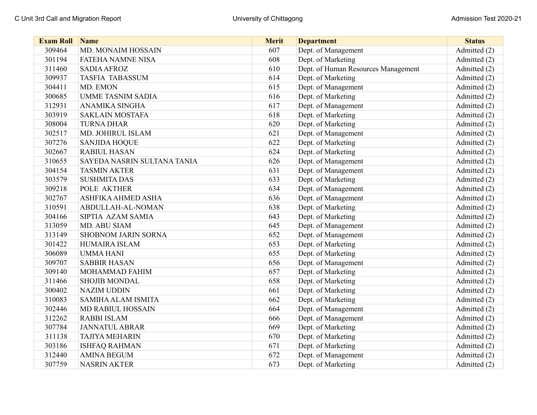| <b>Exam Roll</b> | Name                        | <b>Merit</b> | <b>Department</b>                   | <b>Status</b> |
|------------------|-----------------------------|--------------|-------------------------------------|---------------|
| 309464           | MD. MONAIM HOSSAIN          | 607          | Dept. of Management                 | Admitted (2)  |
| 301194           | <b>FATEHA NAMNE NISA</b>    | 608          | Dept. of Marketing                  | Admitted (2)  |
| 311460           | <b>SADIA AFROZ</b>          | 610          | Dept. of Human Resources Management | Admitted (2)  |
| 309937           | <b>TASFIA TABASSUM</b>      | 614          | Dept. of Marketing                  | Admitted (2)  |
| 304411           | MD. EMON                    | 615          | Dept. of Management                 | Admitted (2)  |
| 300685           | <b>UMME TASNIM SADIA</b>    | 616          | Dept. of Marketing                  | Admitted (2)  |
| 312931           | ANAMIKA SINGHA              | 617          | Dept. of Management                 | Admitted (2)  |
| 303919           | <b>SAKLAIN MOSTAFA</b>      | 618          | Dept. of Marketing                  | Admitted (2)  |
| 308004           | <b>TURNA DHAR</b>           | 620          | Dept. of Marketing                  | Admitted (2)  |
| 302517           | MD. JOHIRUL ISLAM           | 621          | Dept. of Management                 | Admitted (2)  |
| 307276           | <b>SANJIDA HOQUE</b>        | 622          | Dept. of Marketing                  | Admitted (2)  |
| 302667           | <b>RABIUL HASAN</b>         | 624          | Dept. of Marketing                  | Admitted (2)  |
| 310655           | SAYEDA NASRIN SULTANA TANIA | 626          | Dept. of Management                 | Admitted (2)  |
| 304154           | <b>TASMIN AKTER</b>         | 631          | Dept. of Management                 | Admitted (2)  |
| 303579           | <b>SUSHMITA DAS</b>         | 633          | Dept. of Marketing                  | Admitted (2)  |
| 309218           | POLE AKTHER                 | 634          | Dept. of Management                 | Admitted (2)  |
| 302767           | ASHFIKA AHMED ASHA          | 636          | Dept. of Management                 | Admitted (2)  |
| 310591           | ABDULLAH-AL-NOMAN           | 638          | Dept. of Marketing                  | Admitted (2)  |
| 304166           | SIPTIA AZAM SAMIA           | 643          | Dept. of Marketing                  | Admitted (2)  |
| 313059           | MD. ABU SIAM                | 645          | Dept. of Management                 | Admitted (2)  |
| 313149           | SHOBNOM JARIN SORNA         | 652          | Dept. of Management                 | Admitted (2)  |
| 301422           | <b>HUMAIRA ISLAM</b>        | 653          | Dept. of Marketing                  | Admitted (2)  |
| 306089           | <b>UMMA HANI</b>            | 655          | Dept. of Marketing                  | Admitted (2)  |
| 309707           | <b>SABBIR HASAN</b>         | 656          | Dept. of Management                 | Admitted (2)  |
| 309140           | MOHAMMAD FAHIM              | 657          | Dept. of Marketing                  | Admitted (2)  |
| 311466           | <b>SHOJIB MONDAL</b>        | 658          | Dept. of Marketing                  | Admitted (2)  |
| 300402           | <b>NAZIM UDDIN</b>          | 661          | Dept. of Marketing                  | Admitted (2)  |
| 310083           | <b>SAMIHA ALAM ISMITA</b>   | 662          | Dept. of Marketing                  | Admitted (2)  |
| 302446           | <b>MD RABIUL HOSSAIN</b>    | 664          | Dept. of Management                 | Admitted (2)  |
| 312262           | <b>RABBI ISLAM</b>          | 666          | Dept. of Management                 | Admitted (2)  |
| 307784           | <b>JANNATUL ABRAR</b>       | 669          | Dept. of Marketing                  | Admitted (2)  |
| 311138           | <b>TAJIYA MEHARIN</b>       | 670          | Dept. of Marketing                  | Admitted (2)  |
| 303186           | <b>ISHFAQ RAHMAN</b>        | 671          | Dept. of Marketing                  | Admitted (2)  |
| 312440           | <b>AMINA BEGUM</b>          | 672          | Dept. of Management                 | Admitted (2)  |
| 307759           | <b>NASRIN AKTER</b>         | 673          | Dept. of Marketing                  | Admitted (2)  |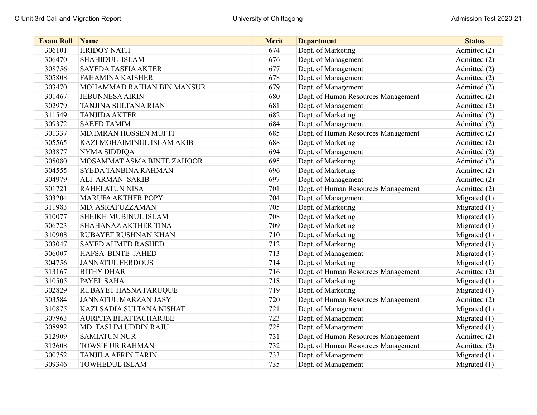| <b>Exam Roll</b> | Name                         | <b>Merit</b> | <b>Department</b>                   | <b>Status</b>  |
|------------------|------------------------------|--------------|-------------------------------------|----------------|
| 306101           | <b>HRIDOY NATH</b>           | 674          | Dept. of Marketing                  | Admitted (2)   |
| 306470           | SHAHIDUL ISLAM               | 676          | Dept. of Management                 | Admitted (2)   |
| 308756           | <b>SAYEDA TASFIA AKTER</b>   | 677          | Dept. of Management                 | Admitted (2)   |
| 305808           | <b>FAHAMINA KAISHER</b>      | 678          | Dept. of Management                 | Admitted (2)   |
| 303470           | MOHAMMAD RAIHAN BIN MANSUR   | 679          | Dept. of Management                 | Admitted (2)   |
| 301467           | <b>JEBUNNESA AIRIN</b>       | 680          | Dept. of Human Resources Management | Admitted (2)   |
| 302979           | TANJINA SULTANA RIAN         | 681          | Dept. of Management                 | Admitted (2)   |
| 311549           | <b>TANJIDA AKTER</b>         | 682          | Dept. of Marketing                  | Admitted (2)   |
| 309372           | <b>SAEED TAMIM</b>           | 684          | Dept. of Management                 | Admitted (2)   |
| 301337           | <b>MD.IMRAN HOSSEN MUFTI</b> | 685          | Dept. of Human Resources Management | Admitted (2)   |
| 305565           | KAZI MOHAIMINUL ISLAM AKIB   | 688          | Dept. of Marketing                  | Admitted (2)   |
| 303877           | NYMA SIDDIQA                 | 694          | Dept. of Management                 | Admitted (2)   |
| 305080           | MOSAMMAT ASMA BINTE ZAHOOR   | 695          | Dept. of Marketing                  | Admitted (2)   |
| 304555           | <b>SYEDA TANBINA RAHMAN</b>  | 696          | Dept. of Marketing                  | Admitted (2)   |
| 304979           | ALI ARMAN SAKIB              | 697          | Dept. of Management                 | Admitted (2)   |
| 301721           | <b>RAHELATUN NISA</b>        | 701          | Dept. of Human Resources Management | Admitted (2)   |
| 303204           | <b>MARUFA AKTHER POPY</b>    | 704          | Dept. of Management                 | Migrated $(1)$ |
| 311983           | MD. ASRAFUZZAMAN             | 705          | Dept. of Marketing                  | Migrated $(1)$ |
| 310077           | SHEIKH MUBINUL ISLAM         | 708          | Dept. of Marketing                  | Migrated (1)   |
| 306723           | SHAHANAZ AKTHER TINA         | 709          | Dept. of Marketing                  | Migrated (1)   |
| 310908           | RUBAYET RUSHNAN KHAN         | 710          | Dept. of Marketing                  | Migrated (1)   |
| 303047           | <b>SAYED AHMED RASHED</b>    | 712          | Dept. of Marketing                  | Migrated (1)   |
| 306007           | HAFSA BINTE JAHED            | 713          | Dept. of Management                 | Migrated $(1)$ |
| 304756           | <b>JANNATUL FERDOUS</b>      | 714          | Dept. of Marketing                  | Migrated (1)   |
| 313167           | <b>BITHY DHAR</b>            | 716          | Dept. of Human Resources Management | Admitted (2)   |
| 310505           | PAYEL SAHA                   | 718          | Dept. of Marketing                  | Migrated $(1)$ |
| 302829           | RUBAYET HASNA FARUQUE        | 719          | Dept. of Marketing                  | Migrated (1)   |
| 303584           | <b>JANNATUL MARZAN JASY</b>  | 720          | Dept. of Human Resources Management | Admitted (2)   |
| 310875           | KAZI SADIA SULTANA NISHAT    | 721          | Dept. of Management                 | Migrated $(1)$ |
| 307963           | AURPITA BHATTACHARJEE        | 723          | Dept. of Management                 | Migrated $(1)$ |
| 308992           | MD. TASLIM UDDIN RAJU        | 725          | Dept. of Management                 | Migrated (1)   |
| 312909           | <b>SAMIATUN NUR</b>          | 731          | Dept. of Human Resources Management | Admitted (2)   |
| 312608           | <b>TOWSIF UR RAHMAN</b>      | 732          | Dept. of Human Resources Management | Admitted (2)   |
| 300752           | <b>TANJILA AFRIN TARIN</b>   | 733          | Dept. of Management                 | Migrated $(1)$ |
| 309346           | <b>TOWHEDUL ISLAM</b>        | 735          | Dept. of Management                 | Migrated $(1)$ |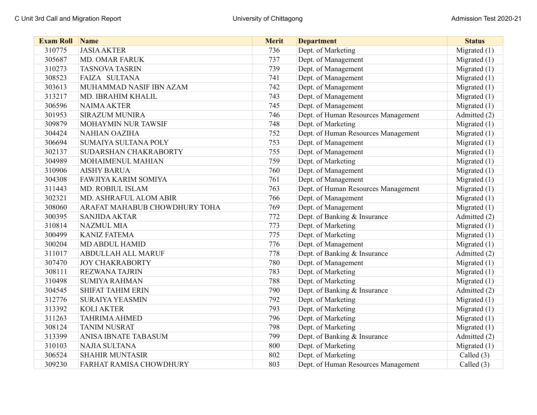| <b>Exam Roll Name</b> |                               | <b>Merit</b> | <b>Department</b>                   | <b>Status</b>  |
|-----------------------|-------------------------------|--------------|-------------------------------------|----------------|
| 310775                | <b>JASIA AKTER</b>            | 736          | Dept. of Marketing                  | Migrated (1)   |
| 305687                | <b>MD. OMAR FARUK</b>         | 737          | Dept. of Management                 | Migrated $(1)$ |
| 310273                | <b>TASNOVA TASRIN</b>         | 739          | Dept. of Management                 | Migrated $(1)$ |
| 308523                | FAIZA SULTANA                 | 741          | Dept. of Management                 | Migrated (1)   |
| 303613                | MUHAMMAD NASIF IBN AZAM       | 742          | Dept. of Management                 | Migrated $(1)$ |
| 313217                | MD. IBRAHIM KHALIL            | 743          | Dept. of Management                 | Migrated (1)   |
| 306596                | <b>NAIMA AKTER</b>            | 745          | Dept. of Management                 | Migrated (1)   |
| 301953                | <b>SIRAZUM MUNIRA</b>         | 746          | Dept. of Human Resources Management | Admitted (2)   |
| 309879                | MOHAYMIN NUR TAWSIF           | 748          | Dept. of Marketing                  | Migrated (1)   |
| 304424                | <b>NAHIAN OAZIHA</b>          | 752          | Dept. of Human Resources Management | Migrated (1)   |
| 306694                | SUMAIYA SULTANA POLY          | 753          | Dept. of Management                 | Migrated $(1)$ |
| 302137                | SUDARSHAN CHAKRABORTY         | 755          | Dept. of Management                 | Migrated (1)   |
| 304989                | MOHAIMENUL MAHIAN             | 759          | Dept. of Marketing                  | Migrated $(1)$ |
| 310906                | <b>AISHY BARUA</b>            | 760          | Dept. of Management                 | Migrated $(1)$ |
| 304308                | FAWJIYA KARIM SOMIYA          | 761          | Dept. of Management                 | Migrated (1)   |
| 311443                | MD. ROBIUL ISLAM              | 763          | Dept. of Human Resources Management | Migrated (1)   |
| 302321                | MD. ASHRAFUL ALOM ABIR        | 766          | Dept. of Management                 | Migrated (1)   |
| 308060                | ARAFAT MAHABUB CHOWDHURY TOHA | 769          | Dept. of Management                 | Migrated $(1)$ |
| 300395                | <b>SANJIDA AKTAR</b>          | 772          | Dept. of Banking & Insurance        | Admitted (2)   |
| 310814                | <b>NAZMUL MIA</b>             | 773          | Dept. of Marketing                  | Migrated $(1)$ |
| 300499                | <b>KANIZ FATEMA</b>           | 775          | Dept. of Marketing                  | Migrated $(1)$ |
| 300204                | <b>MD ABDUL HAMID</b>         | 776          | Dept. of Management                 | Migrated $(1)$ |
| 311017                | <b>ABDULLAH ALL MARUF</b>     | 778          | Dept. of Banking & Insurance        | Admitted (2)   |
| 307470                | <b>JOY CHAKRABORTY</b>        | 780          | Dept. of Management                 | Migrated (1)   |
| 308111                | <b>REZWANA TAJRIN</b>         | 783          | Dept. of Marketing                  | Migrated $(1)$ |
| 310498                | <b>SUMIYA RAHMAN</b>          | 788          | Dept. of Marketing                  | Migrated $(1)$ |
| 304545                | <b>SHIFAT TAHIM ERIN</b>      | 790          | Dept. of Banking & Insurance        | Admitted (2)   |
| 312776                | <b>SURAIYA YEASMIN</b>        | 792          | Dept. of Marketing                  | Migrated (1)   |
| 313392                | <b>KOLI AKTER</b>             | 793          | Dept. of Marketing                  | Migrated (1)   |
| 311263                | <b>TAHRIMA AHMED</b>          | 796          | Dept. of Marketing                  | Migrated $(1)$ |
| 308124                | <b>TANIM NUSRAT</b>           | 798          | Dept. of Marketing                  | Migrated (1)   |
| 313399                | ANISA IBNATE TABASUM          | 799          | Dept. of Banking & Insurance        | Admitted (2)   |
| 310103                | <b>NAJIA SULTANA</b>          | 800          | Dept. of Marketing                  | Migrated (1)   |
| 306524                | <b>SHAHIR MUNTASIR</b>        | 802          | Dept. of Marketing                  | Called $(3)$   |
| 309230                | FARHAT RAMISA CHOWDHURY       | 803          | Dept. of Human Resources Management | Called (3)     |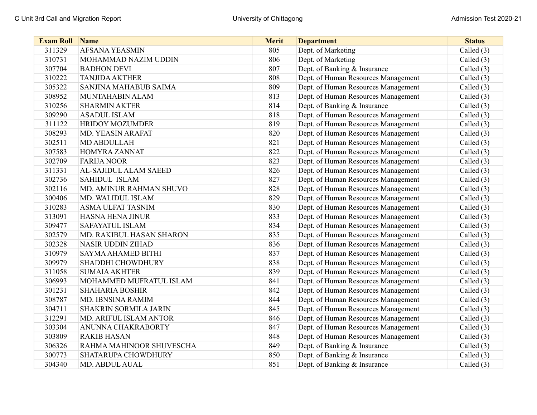| <b>Exam Roll Name</b> |                              | <b>Merit</b> | <b>Department</b>                   | <b>Status</b> |
|-----------------------|------------------------------|--------------|-------------------------------------|---------------|
| 311329                | <b>AFSANA YEASMIN</b>        | 805          | Dept. of Marketing                  | Called (3)    |
| 310731                | MOHAMMAD NAZIM UDDIN         | 806          | Dept. of Marketing                  | Called $(3)$  |
| 307704                | <b>BADHON DEVI</b>           | 807          | Dept. of Banking & Insurance        | Called $(3)$  |
| 310222                | <b>TANJIDA AKTHER</b>        | 808          | Dept. of Human Resources Management | Called $(3)$  |
| 305322                | SANJINA MAHABUB SAIMA        | 809          | Dept. of Human Resources Management | Called $(3)$  |
| 308952                | MUNTAHABIN ALAM              | 813          | Dept. of Human Resources Management | Called $(3)$  |
| 310256                | <b>SHARMIN AKTER</b>         | 814          | Dept. of Banking & Insurance        | Called $(3)$  |
| 309290                | <b>ASADUL ISLAM</b>          | 818          | Dept. of Human Resources Management | Called $(3)$  |
| 311122                | HRIDOY MOZUMDER              | 819          | Dept. of Human Resources Management | Called (3)    |
| 308293                | MD. YEASIN ARAFAT            | 820          | Dept. of Human Resources Management | Called $(3)$  |
| 302511                | <b>MD ABDULLAH</b>           | 821          | Dept. of Human Resources Management | Called $(3)$  |
| 307583                | HOMYRA ZANNAT                | 822          | Dept. of Human Resources Management | Called $(3)$  |
| 302709                | <b>FARIJA NOOR</b>           | 823          | Dept. of Human Resources Management | Called $(3)$  |
| 311331                | AL-SAJIDUL ALAM SAEED        | 826          | Dept. of Human Resources Management | Called $(3)$  |
| 302736                | SAHIDUL ISLAM                | 827          | Dept. of Human Resources Management | Called $(3)$  |
| 302116                | MD. AMINUR RAHMAN SHUVO      | 828          | Dept. of Human Resources Management | Called $(3)$  |
| 300406                | MD. WALIDUL ISLAM            | 829          | Dept. of Human Resources Management | Called $(3)$  |
| 310283                | <b>ASMA ULFAT TASNIM</b>     | 830          | Dept. of Human Resources Management | Called $(3)$  |
| 313091                | HASNA HENA JINUR             | 833          | Dept. of Human Resources Management | Called $(3)$  |
| 309477                | <b>SAFAYATUL ISLAM</b>       | 834          | Dept. of Human Resources Management | Called $(3)$  |
| 302579                | MD. RAKIBUL HASAN SHARON     | 835          | Dept. of Human Resources Management | Called $(3)$  |
| 302328                | <b>NASIR UDDIN ZIHAD</b>     | 836          | Dept. of Human Resources Management | Called $(3)$  |
| 310979                | SAYMA AHAMED BITHI           | 837          | Dept. of Human Resources Management | Called $(3)$  |
| 309979                | SHADDHI CHOWDHURY            | 838          | Dept. of Human Resources Management | Called $(3)$  |
| 311058                | <b>SUMAIA AKHTER</b>         | 839          | Dept. of Human Resources Management | Called (3)    |
| 306993                | MOHAMMED MUFRATUL ISLAM      | 841          | Dept. of Human Resources Management | Called $(3)$  |
| 301231                | <b>SHAHARIA BOSHIR</b>       | 842          | Dept. of Human Resources Management | Called $(3)$  |
| 308787                | MD. IBNSINA RAMIM            | 844          | Dept. of Human Resources Management | Called $(3)$  |
| 304711                | <b>SHAKRIN SORMILA JARIN</b> | 845          | Dept. of Human Resources Management | Called $(3)$  |
| 312291                | MD. ARIFUL ISLAM ANTOR       | 846          | Dept. of Human Resources Management | Called $(3)$  |
| 303304                | ANUNNA CHAKRABORTY           | 847          | Dept. of Human Resources Management | Called (3)    |
| 303809                | <b>RAKIB HASAN</b>           | 848          | Dept. of Human Resources Management | Called (3)    |
| 306326                | RAHMA MAHINOOR SHUVESCHA     | 849          | Dept. of Banking & Insurance        | Called $(3)$  |
| 300773                | SHATARUPA CHOWDHURY          | 850          | Dept. of Banking & Insurance        | Called $(3)$  |
| 304340                | MD. ABDUL AUAL               | 851          | Dept. of Banking & Insurance        | Called (3)    |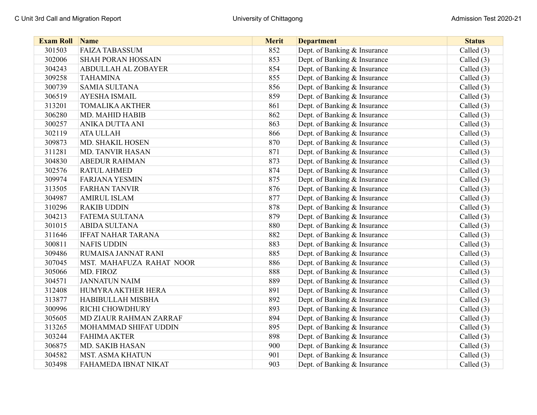| <b>Exam Roll</b> | Name                      | <b>Merit</b> | <b>Department</b>            | <b>Status</b> |
|------------------|---------------------------|--------------|------------------------------|---------------|
| 301503           | <b>FAIZA TABASSUM</b>     | 852          | Dept. of Banking & Insurance | Called (3)    |
| 302006           | <b>SHAH PORAN HOSSAIN</b> | 853          | Dept. of Banking & Insurance | Called $(3)$  |
| 304243           | ABDULLAH AL ZOBAYER       | 854          | Dept. of Banking & Insurance | Called (3)    |
| 309258           | <b>TAHAMINA</b>           | 855          | Dept. of Banking & Insurance | Called $(3)$  |
| 300739           | <b>SAMIA SULTANA</b>      | 856          | Dept. of Banking & Insurance | Called $(3)$  |
| 306519           | <b>AYESHA ISMAIL</b>      | 859          | Dept. of Banking & Insurance | Called $(3)$  |
| 313201           | <b>TOMALIKA AKTHER</b>    | 861          | Dept. of Banking & Insurance | Called (3)    |
| 306280           | MD. MAHID HABIB           | 862          | Dept. of Banking & Insurance | Called $(3)$  |
| 300257           | ANIKA DUTTA ANI           | 863          | Dept. of Banking & Insurance | Called $(3)$  |
| 302119           | <b>ATA ULLAH</b>          | 866          | Dept. of Banking & Insurance | Called $(3)$  |
| 309873           | MD. SHAKIL HOSEN          | 870          | Dept. of Banking & Insurance | Called $(3)$  |
| 311281           | <b>MD. TANVIR HASAN</b>   | 871          | Dept. of Banking & Insurance | Called $(3)$  |
| 304830           | <b>ABEDUR RAHMAN</b>      | 873          | Dept. of Banking & Insurance | Called $(3)$  |
| 302576           | <b>RATUL AHMED</b>        | 874          | Dept. of Banking & Insurance | Called $(3)$  |
| 309974           | <b>FARJANA YESMIN</b>     | 875          | Dept. of Banking & Insurance | Called (3)    |
| 313505           | <b>FARHAN TANVIR</b>      | 876          | Dept. of Banking & Insurance | Called $(3)$  |
| 304987           | <b>AMIRUL ISLAM</b>       | 877          | Dept. of Banking & Insurance | Called $(3)$  |
| 310296           | <b>RAKIB UDDIN</b>        | 878          | Dept. of Banking & Insurance | Called $(3)$  |
| 304213           | FATEMA SULTANA            | 879          | Dept. of Banking & Insurance | Called $(3)$  |
| 301015           | <b>ABIDA SULTANA</b>      | 880          | Dept. of Banking & Insurance | Called (3)    |
| 311646           | <b>IFFAT NAHAR TARANA</b> | 882          | Dept. of Banking & Insurance | Called $(3)$  |
| 300811           | <b>NAFIS UDDIN</b>        | 883          | Dept. of Banking & Insurance | Called $(3)$  |
| 309486           | RUMAISA JANNAT RANI       | 885          | Dept. of Banking & Insurance | Called $(3)$  |
| 307045           | MST. MAHAFUZA RAHAT NOOR  | 886          | Dept. of Banking & Insurance | Called $(3)$  |
| 305066           | MD. FIROZ                 | 888          | Dept. of Banking & Insurance | Called $(3)$  |
| 304571           | <b>JANNATUN NAIM</b>      | 889          | Dept. of Banking & Insurance | Called $(3)$  |
| 312408           | HUMYRA AKTHER HERA        | 891          | Dept. of Banking & Insurance | Called (3)    |
| 313877           | HABIBULLAH MISBHA         | 892          | Dept. of Banking & Insurance | Called $(3)$  |
| 300996           | RICHI CHOWDHURY           | 893          | Dept. of Banking & Insurance | Called $(3)$  |
| 305605           | MD ZIAUR RAHMAN ZARRAF    | 894          | Dept. of Banking & Insurance | Called $(3)$  |
| 313265           | MOHAMMAD SHIFAT UDDIN     | 895          | Dept. of Banking & Insurance | Called $(3)$  |
| 303244           | <b>FAHIMA AKTER</b>       | 898          | Dept. of Banking & Insurance | Called (3)    |
| 306875           | MD. SAKIB HASAN           | 900          | Dept. of Banking & Insurance | Called $(3)$  |
| 304582           | <b>MST. ASMA KHATUN</b>   | 901          | Dept. of Banking & Insurance | Called $(3)$  |
| 303498           | FAHAMEDA IBNAT NIKAT      | 903          | Dept. of Banking & Insurance | Called (3)    |